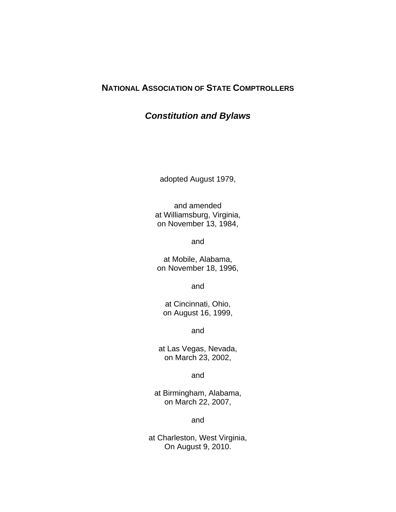# **NATIONAL ASSOCIATION OF STATE COMPTROLLERS**

# *Constitution and Bylaws*

adopted August 1979,

and amended at Williamsburg, Virginia, on November 13, 1984,

and

at Mobile, Alabama, on November 18, 1996,

and

at Cincinnati, Ohio, on August 16, 1999,

and

at Las Vegas, Nevada, on March 23, 2002,

and

at Birmingham, Alabama, on March 22, 2007,

and

at Charleston, West Virginia, On August 9, 2010.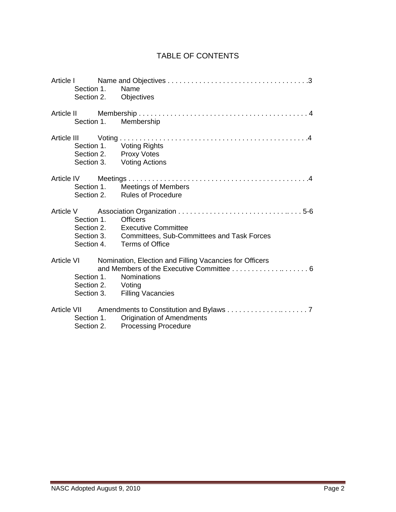## TABLE OF CONTENTS

|  |                                 | Section 1. Name | Section 2. Objectives                                                           |
|--|---------------------------------|-----------------|---------------------------------------------------------------------------------|
|  |                                 |                 | Section 1. Membership                                                           |
|  |                                 |                 | Section 1. Voting Rights<br>Section 2. Proxy Votes<br>Section 3. Voting Actions |
|  |                                 |                 | Section 1. Meetings of Members<br>Section 2. Rules of Procedure                 |
|  |                                 |                 |                                                                                 |
|  |                                 | Section 1.      | <b>Officers</b>                                                                 |
|  |                                 |                 | Section 2. Executive Committee                                                  |
|  |                                 |                 | Section 3. Committees, Sub-Committees and Task Forces                           |
|  |                                 |                 | Section 4. Terms of Office                                                      |
|  |                                 |                 | Article VI Momination, Election and Filling Vacancies for Officers              |
|  | Section 1.<br>Section 2. Voting |                 | Nominations                                                                     |
|  |                                 |                 |                                                                                 |
|  |                                 |                 | Section 3. Filling Vacancies                                                    |
|  |                                 |                 | Article VII Amendments to Constitution and Bylaws 7                             |
|  |                                 |                 | Section 1. Origination of Amendments                                            |
|  |                                 |                 | Section 2. Processing Procedure                                                 |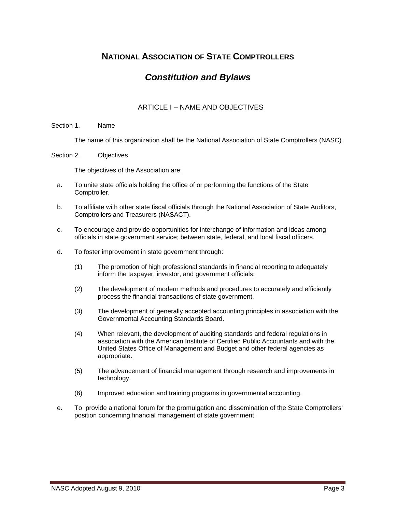# **NATIONAL ASSOCIATION OF STATE COMPTROLLERS**

# *Constitution and Bylaws*

## ARTICLE I – NAME AND OBJECTIVES

### Section 1. Name

The name of this organization shall be the National Association of State Comptrollers (NASC).

#### Section 2. Objectives

The objectives of the Association are:

- a. To unite state officials holding the office of or performing the functions of the State Comptroller.
- b. To affiliate with other state fiscal officials through the National Association of State Auditors, Comptrollers and Treasurers (NASACT).
- c. To encourage and provide opportunities for interchange of information and ideas among officials in state government service; between state, federal, and local fiscal officers.
- d. To foster improvement in state government through:
	- (1) The promotion of high professional standards in financial reporting to adequately inform the taxpayer, investor, and government officials.
	- (2) The development of modern methods and procedures to accurately and efficiently process the financial transactions of state government.
	- (3) The development of generally accepted accounting principles in association with the Governmental Accounting Standards Board.
	- (4) When relevant, the development of auditing standards and federal regulations in association with the American Institute of Certified Public Accountants and with the United States Office of Management and Budget and other federal agencies as appropriate.
	- (5) The advancement of financial management through research and improvements in technology.
	- (6) Improved education and training programs in governmental accounting.
- e. To provide a national forum for the promulgation and dissemination of the State Comptrollers' position concerning financial management of state government.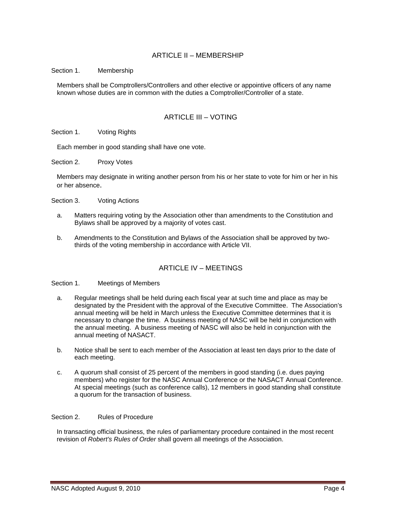## ARTICLE II – MEMBERSHIP

Section 1. Membership

Members shall be Comptrollers/Controllers and other elective or appointive officers of any name known whose duties are in common with the duties a Comptroller/Controller of a state.

## ARTICLE III – VOTING

Section 1. Voting Rights

Each member in good standing shall have one vote.

Section 2. Proxy Votes

Members may designate in writing another person from his or her state to vote for him or her in his or her absence.

Section 3. Voting Actions

- a. Matters requiring voting by the Association other than amendments to the Constitution and Bylaws shall be approved by a majority of votes cast.
- b. Amendments to the Constitution and Bylaws of the Association shall be approved by twothirds of the voting membership in accordance with Article VII.

### ARTICLE IV – MEETINGS

Section 1. Meetings of Members

- a. Regular meetings shall be held during each fiscal year at such time and place as may be designated by the President with the approval of the Executive Committee. The Association's annual meeting will be held in March unless the Executive Committee determines that it is necessary to change the time. A business meeting of NASC will be held in conjunction with the annual meeting. A business meeting of NASC will also be held in conjunction with the annual meeting of NASACT.
- b. Notice shall be sent to each member of the Association at least ten days prior to the date of each meeting.
- c. A quorum shall consist of 25 percent of the members in good standing (i.e. dues paying members) who register for the NASC Annual Conference or the NASACT Annual Conference. At special meetings (such as conference calls), 12 members in good standing shall constitute a quorum for the transaction of business.

Section 2. Rules of Procedure

In transacting official business, the rules of parliamentary procedure contained in the most recent revision of *Robert's Rules of Order* shall govern all meetings of the Association.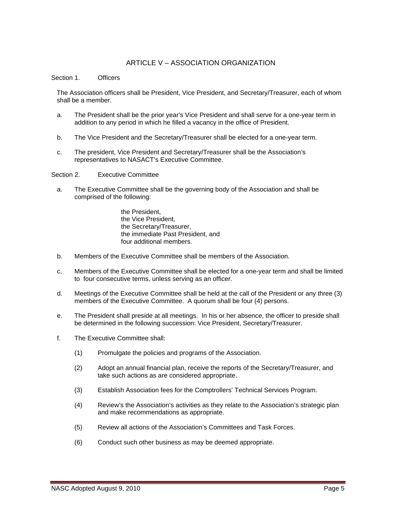### ARTICLE V – ASSOCIATION ORGANIZATION

#### Section 1 Officers

The Association officers shall be President, Vice President, and Secretary/Treasurer, each of whom shall be a member.

- a. The President shall be the prior year's Vice President and shall serve for a one-year term in addition to any period in which he filled a vacancy in the office of President.
- b. The Vice President and the Secretary/Treasurer shall be elected for a one-year term.
- c. The president, Vice President and Secretary/Treasurer shall be the Association's representatives to NASACT's Executive Committee.

#### Section 2. Executive Committee

a. The Executive Committee shall be the governing body of the Association and shall be comprised of the following:

> the President, the Vice President, the Secretary/Treasurer, the immediate Past President, and four additional members.

- b. Members of the Executive Committee shall be members of the Association.
- c. Members of the Executive Committee shall be elected for a one-year term and shall be limited to four consecutive terms, unless serving as an officer.
- d. Meetings of the Executive Committee shall be held at the call of the President or any three (3) members of the Executive Committee. A quorum shall be four (4) persons.
- e. The President shall preside at all meetings. In his or her absence, the officer to preside shall be determined in the following succession: Vice President, Secretary/Treasurer.
- f. The Executive Committee shall:
	- (1) Promulgate the policies and programs of the Association.
	- (2) Adopt an annual financial plan, receive the reports of the Secretary/Treasurer, and take such actions as are considered appropriate.
	- (3) Establish Association fees for the Comptrollers' Technical Services Program.
	- (4) Review's the Association's activities as they relate to the Association's strategic plan and make recommendations as appropriate.
	- (5) Review all actions of the Association's Committees and Task Forces.
	- (6) Conduct such other business as may be deemed appropriate.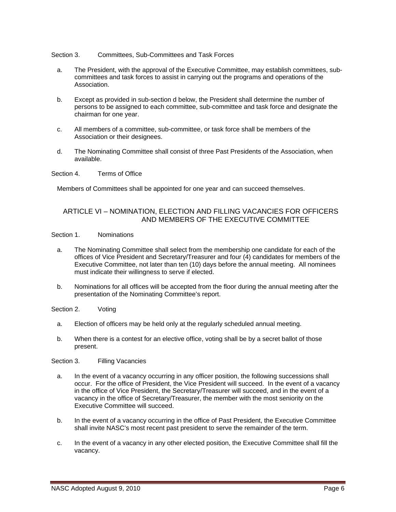#### Section 3. Committees, Sub-Committees and Task Forces

- a. The President, with the approval of the Executive Committee, may establish committees, subcommittees and task forces to assist in carrying out the programs and operations of the Association.
- b. Except as provided in sub-section d below, the President shall determine the number of persons to be assigned to each committee, sub-committee and task force and designate the chairman for one year.
- c. All members of a committee, sub-committee, or task force shall be members of the Association or their designees.
- d. The Nominating Committee shall consist of three Past Presidents of the Association, when available.

Section 4. Terms of Office

Members of Committees shall be appointed for one year and can succeed themselves.

### ARTICLE VI – NOMINATION, ELECTION AND FILLING VACANCIES FOR OFFICERS AND MEMBERS OF THE EXECUTIVE COMMITTEE

### Section 1. Nominations

- a. The Nominating Committee shall select from the membership one candidate for each of the offices of Vice President and Secretary/Treasurer and four (4) candidates for members of the Executive Committee, not later than ten (10) days before the annual meeting. All nominees must indicate their willingness to serve if elected.
- b. Nominations for all offices will be accepted from the floor during the annual meeting after the presentation of the Nominating Committee's report.

Section 2. Voting

- a. Election of officers may be held only at the regularly scheduled annual meeting.
- b. When there is a contest for an elective office, voting shall be by a secret ballot of those present.

Section 3. Filling Vacancies

- a. In the event of a vacancy occurring in any officer position, the following successions shall occur. For the office of President, the Vice President will succeed. In the event of a vacancy in the office of Vice President, the Secretary/Treasurer will succeed, and in the event of a vacancy in the office of Secretary/Treasurer, the member with the most seniority on the Executive Committee will succeed.
- b. In the event of a vacancy occurring in the office of Past President, the Executive Committee shall invite NASC's most recent past president to serve the remainder of the term.
- c. In the event of a vacancy in any other elected position, the Executive Committee shall fill the vacancy.